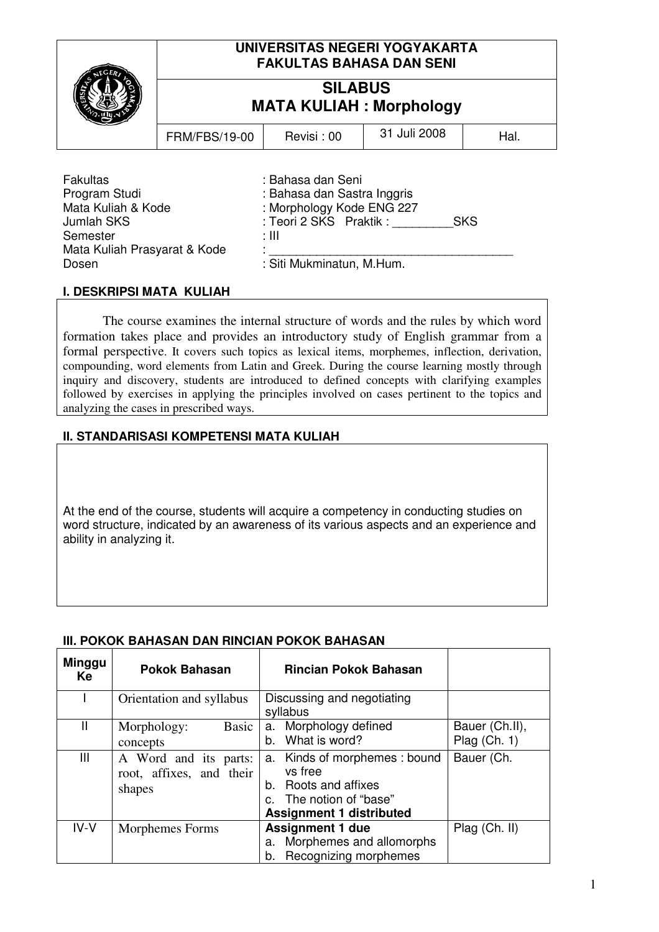|                                                                                                                                  | UNIVERSITAS NEGERI YOGYAKARTA<br><b>FAKULTAS BAHASA DAN SENI</b><br><b>SILABUS</b><br><b>MATA KULIAH: Morphology</b> |                                                                                                                                                              |              |      |  |
|----------------------------------------------------------------------------------------------------------------------------------|----------------------------------------------------------------------------------------------------------------------|--------------------------------------------------------------------------------------------------------------------------------------------------------------|--------------|------|--|
|                                                                                                                                  |                                                                                                                      |                                                                                                                                                              |              |      |  |
|                                                                                                                                  | <b>FRM/FBS/19-00</b>                                                                                                 | Revisi: 00                                                                                                                                                   | 31 Juli 2008 | Hal. |  |
| <b>Fakultas</b><br>Program Studi<br>Mata Kuliah & Kode<br><b>Jumlah SKS</b><br>Semester<br>Mata Kuliah Prasyarat & Kode<br>Dosen |                                                                                                                      | : Bahasa dan Seni<br>: Bahasa dan Sastra Inggris<br>: Morphology Kode ENG 227<br>: Teori 2 SKS Praktik :<br><b>SKS</b><br>: III<br>: Siti Mukminatun, M.Hum. |              |      |  |

### **I. DESKRIPSI MATA KULIAH**

The course examines the internal structure of words and the rules by which word formation takes place and provides an introductory study of English grammar from a formal perspective. It covers such topics as lexical items, morphemes, inflection, derivation, compounding, word elements from Latin and Greek. During the course learning mostly through inquiry and discovery, students are introduced to defined concepts with clarifying examples followed by exercises in applying the principles involved on cases pertinent to the topics and analyzing the cases in prescribed ways.

### **II. STANDARISASI KOMPETENSI MATA KULIAH**

At the end of the course, students will acquire a competency in conducting studies on word structure, indicated by an awareness of its various aspects and an experience and ability in analyzing it.

| <b>Minggu</b><br>Ke | <b>Pokok Bahasan</b>                                        | <b>Rincian Pokok Bahasan</b>                                                                                                   |                                  |
|---------------------|-------------------------------------------------------------|--------------------------------------------------------------------------------------------------------------------------------|----------------------------------|
|                     | Orientation and syllabus                                    | Discussing and negotiating<br>syllabus                                                                                         |                                  |
| Ш                   | Basic<br>Morphology:<br>concepts                            | Morphology defined<br>a.<br>What is word?<br>b.                                                                                | Bauer (Ch.II),<br>Plag $(Ch. 1)$ |
| Ш                   | A Word and its parts:<br>root, affixes, and their<br>shapes | a. Kinds of morphemes : bound<br>vs free<br>b. Roots and affixes<br>c. The notion of "base"<br><b>Assignment 1 distributed</b> | Bauer (Ch.                       |
| $IV-V$              | Morphemes Forms                                             | <b>Assignment 1 due</b><br>Morphemes and allomorphs<br>a.<br>Recognizing morphemes<br>b.                                       | $PIag$ (Ch. II)                  |

#### **III. POKOK BAHASAN DAN RINCIAN POKOK BAHASAN**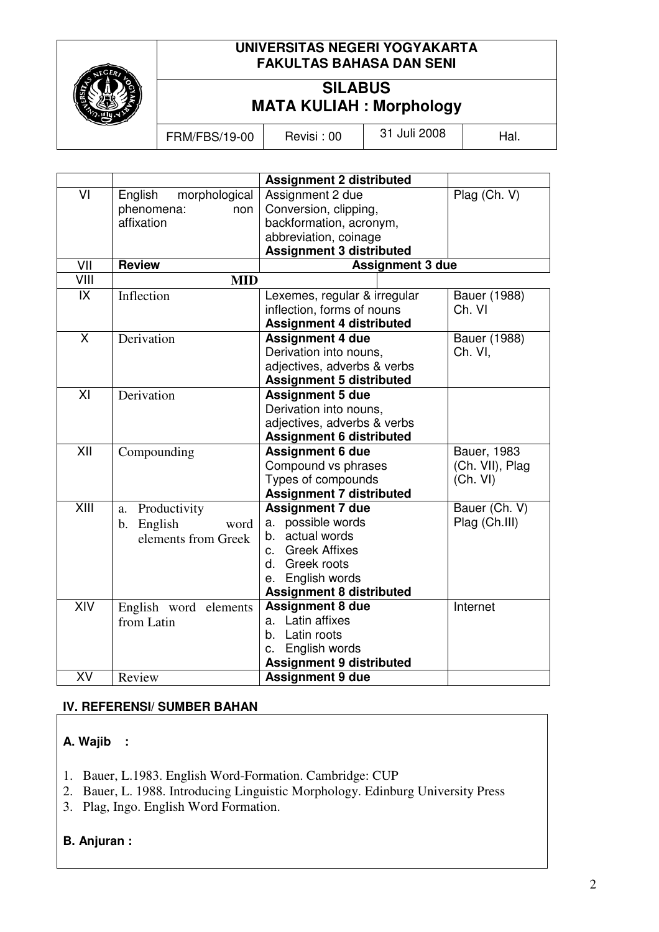

## **UNIVERSITAS NEGERI YOGYAKARTA FAKULTAS BAHASA DAN SENI**

# **SILABUS MATA KULIAH : Morphology**

FRM/FBS/19-00 Revisi : 00 31 Juli 2008 | Hal.

|                         |                          | <b>Assignment 2 distributed</b> |                 |  |
|-------------------------|--------------------------|---------------------------------|-----------------|--|
| VI                      | English<br>morphological | Assignment 2 due                | Plag (Ch. V)    |  |
|                         | phenomena:<br>non        | Conversion, clipping,           |                 |  |
|                         | affixation               | backformation, acronym,         |                 |  |
|                         |                          | abbreviation, coinage           |                 |  |
|                         |                          | <b>Assignment 3 distributed</b> |                 |  |
| VII                     | <b>Review</b>            | <b>Assignment 3 due</b>         |                 |  |
| VIII                    | <b>MID</b>               |                                 |                 |  |
| IX                      | Inflection               | Lexemes, regular & irregular    | Bauer (1988)    |  |
|                         |                          | inflection, forms of nouns      | Ch. VI          |  |
|                         |                          | <b>Assignment 4 distributed</b> |                 |  |
| $\overline{\mathsf{x}}$ | Derivation               | <b>Assignment 4 due</b>         | Bauer (1988)    |  |
|                         |                          | Derivation into nouns,          | Ch. VI,         |  |
|                         |                          | adjectives, adverbs & verbs     |                 |  |
|                         |                          | <b>Assignment 5 distributed</b> |                 |  |
| XI                      | Derivation               | <b>Assignment 5 due</b>         |                 |  |
|                         |                          | Derivation into nouns,          |                 |  |
|                         |                          | adjectives, adverbs & verbs     |                 |  |
|                         |                          | <b>Assignment 6 distributed</b> |                 |  |
| XII                     | Compounding              | <b>Assignment 6 due</b>         | Bauer, 1983     |  |
|                         |                          | Compound vs phrases             | (Ch. VII), Plag |  |
|                         |                          | Types of compounds              | (Ch. VI)        |  |
|                         |                          | <b>Assignment 7 distributed</b> |                 |  |
| $\overline{X}$ III      | Productivity<br>a.       | <b>Assignment 7 due</b>         | Bauer (Ch. V)   |  |
|                         | English<br>b.<br>word    | a. possible words               | Plag (Ch.III)   |  |
|                         | elements from Greek      | actual words<br>b.              |                 |  |
|                         |                          | <b>Greek Affixes</b><br>C.      |                 |  |
|                         |                          | Greek roots<br>d.               |                 |  |
|                         |                          | English words<br>е.             |                 |  |
|                         |                          | <b>Assignment 8 distributed</b> |                 |  |
| XIV                     | English word elements    | <b>Assignment 8 due</b>         | Internet        |  |
|                         | from Latin               | Latin affixes<br>а.             |                 |  |
|                         |                          | b. Latin roots                  |                 |  |
|                         |                          | English words<br>c.             |                 |  |
|                         |                          | <b>Assignment 9 distributed</b> |                 |  |
| XV                      | Review                   | <b>Assignment 9 due</b>         |                 |  |

# **IV. REFERENSI/ SUMBER BAHAN**

# **A. Wajib :**

- 1. Bauer, L.1983. English Word-Formation. Cambridge: CUP
- 2. Bauer, L. 1988. Introducing Linguistic Morphology. Edinburg University Press
- 3. Plag, Ingo. English Word Formation.

# **B. Anjuran :**